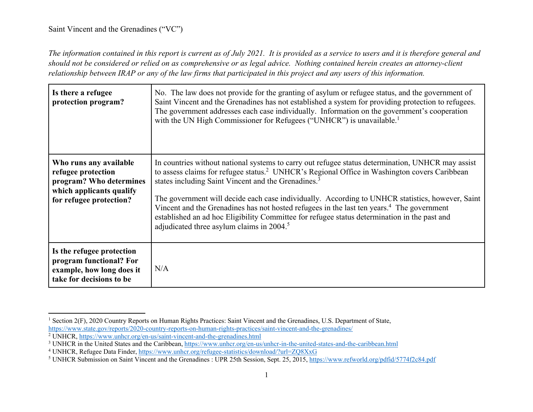*The information contained in this report is current as of July 2021. It is provided as a service to users and it is therefore general and should not be considered or relied on as comprehensive or as legal advice. Nothing contained herein creates an attorney-client relationship between IRAP or any of the law firms that participated in this project and any users of this information.* 

| Is there a refugee<br>protection program?                                                                                      | No. The law does not provide for the granting of asylum or refugee status, and the government of<br>Saint Vincent and the Grenadines has not established a system for providing protection to refugees.<br>The government addresses each case individually. Information on the government's cooperation<br>with the UN High Commissioner for Refugees ("UNHCR") is unavailable. <sup>1</sup>                                                                                                                                                                                                                                                           |
|--------------------------------------------------------------------------------------------------------------------------------|--------------------------------------------------------------------------------------------------------------------------------------------------------------------------------------------------------------------------------------------------------------------------------------------------------------------------------------------------------------------------------------------------------------------------------------------------------------------------------------------------------------------------------------------------------------------------------------------------------------------------------------------------------|
| Who runs any available<br>refugee protection<br>program? Who determines<br>which applicants qualify<br>for refugee protection? | In countries without national systems to carry out refugee status determination, UNHCR may assist<br>to assess claims for refugee status. <sup>2</sup> UNHCR's Regional Office in Washington covers Caribbean<br>states including Saint Vincent and the Grenadines. <sup>3</sup><br>The government will decide each case individually. According to UNHCR statistics, however, Saint<br>Vincent and the Grenadines has not hosted refugees in the last ten years. <sup>4</sup> The government<br>established an ad hoc Eligibility Committee for refugee status determination in the past and<br>adjudicated three asylum claims in 2004. <sup>5</sup> |
| Is the refugee protection<br>program functional? For<br>example, how long does it<br>take for decisions to be                  | N/A                                                                                                                                                                                                                                                                                                                                                                                                                                                                                                                                                                                                                                                    |

<sup>&</sup>lt;sup>1</sup> Section 2(F), 2020 Country Reports on Human Rights Practices: Saint Vincent and the Grenadines, U.S. Department of State, https://www.state.gov/reports/2020-country-reports-on-human-rights-practices/saint-vincent-and-the-grenadines/

<sup>&</sup>lt;sup>2</sup> UNHCR, https://www.unhcr.org/en-us/saint-vincent-and-the-grenadines.html

<sup>&</sup>lt;sup>3</sup> UNHCR in the United States and the Caribbean, https://www.unhcr.org/en-us/unhcr-in-the-united-states-and-the-caribbean.html

<sup>4</sup> UNHCR, Refugee Data Finder, https://www.unhcr.org/refugee-statistics/download/?url=ZQ8XxG

<sup>5</sup> UNHCR Submission on Saint Vincent and the Grenadines : UPR 25th Session, Sept. 25, 2015, https://www.refworld.org/pdfid/5774f2c84.pdf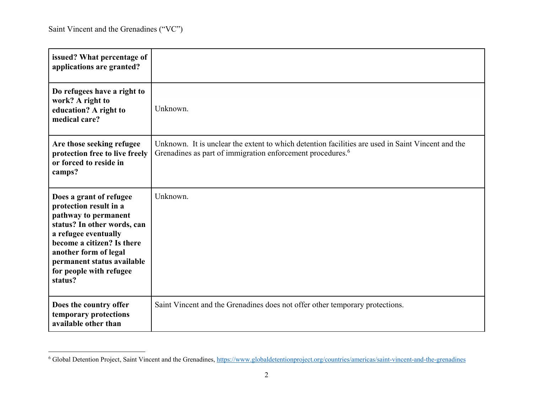| issued? What percentage of<br>applications are granted?                                                                                                                                                                                                     |                                                                                                                                                                             |
|-------------------------------------------------------------------------------------------------------------------------------------------------------------------------------------------------------------------------------------------------------------|-----------------------------------------------------------------------------------------------------------------------------------------------------------------------------|
| Do refugees have a right to<br>work? A right to<br>education? A right to<br>medical care?                                                                                                                                                                   | Unknown.                                                                                                                                                                    |
| Are those seeking refugee<br>protection free to live freely<br>or forced to reside in<br>camps?                                                                                                                                                             | Unknown. It is unclear the extent to which detention facilities are used in Saint Vincent and the<br>Grenadines as part of immigration enforcement procedures. <sup>6</sup> |
| Does a grant of refugee<br>protection result in a<br>pathway to permanent<br>status? In other words, can<br>a refugee eventually<br>become a citizen? Is there<br>another form of legal<br>permanent status available<br>for people with refugee<br>status? | Unknown.                                                                                                                                                                    |
| Does the country offer<br>temporary protections<br>available other than                                                                                                                                                                                     | Saint Vincent and the Grenadines does not offer other temporary protections.                                                                                                |

<sup>&</sup>lt;sup>6</sup> Global Detention Project, Saint Vincent and the Grenadines, https://www.globaldetentionproject.org/countries/americas/saint-vincent-and-the-grenadines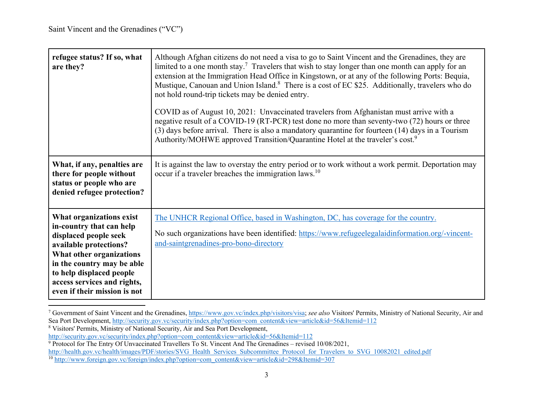| refugee status? If so, what<br>are they?                                                                                                                                                                                                                     | Although Afghan citizens do not need a visa to go to Saint Vincent and the Grenadines, they are<br>limited to a one month stay. <sup>7</sup> Travelers that wish to stay longer than one month can apply for an<br>extension at the Immigration Head Office in Kingstown, or at any of the following Ports: Bequia,<br>Mustique, Canouan and Union Island. <sup>8</sup> There is a cost of EC \$25. Additionally, travelers who do<br>not hold round-trip tickets may be denied entry.<br>COVID as of August 10, 2021: Unvaccinated travelers from Afghanistan must arrive with a<br>negative result of a COVID-19 (RT-PCR) test done no more than seventy-two (72) hours or three<br>(3) days before arrival. There is also a mandatory quarantine for fourteen (14) days in a Tourism<br>Authority/MOHWE approved Transition/Quarantine Hotel at the traveler's cost. <sup>9</sup> |
|--------------------------------------------------------------------------------------------------------------------------------------------------------------------------------------------------------------------------------------------------------------|--------------------------------------------------------------------------------------------------------------------------------------------------------------------------------------------------------------------------------------------------------------------------------------------------------------------------------------------------------------------------------------------------------------------------------------------------------------------------------------------------------------------------------------------------------------------------------------------------------------------------------------------------------------------------------------------------------------------------------------------------------------------------------------------------------------------------------------------------------------------------------------|
| What, if any, penalties are<br>there for people without<br>status or people who are<br>denied refugee protection?                                                                                                                                            | It is against the law to overstay the entry period or to work without a work permit. Deportation may<br>occur if a traveler breaches the immigration laws. <sup>10</sup>                                                                                                                                                                                                                                                                                                                                                                                                                                                                                                                                                                                                                                                                                                             |
| What organizations exist<br>in-country that can help<br>displaced people seek<br>available protections?<br>What other organizations<br>in the country may be able<br>to help displaced people<br>access services and rights,<br>even if their mission is not | The UNHCR Regional Office, based in Washington, DC, has coverage for the country.<br>No such organizations have been identified: https://www.refugeelegalaidinformation.org/-vincent-<br>and-saintgrenadines-pro-bono-directory                                                                                                                                                                                                                                                                                                                                                                                                                                                                                                                                                                                                                                                      |

<sup>7</sup> Government of Saint Vincent and the Grenadines, https://www.gov.vc/index.php/visitors/visa; *see also* Visitors' Permits, Ministry of National Security, Air and Sea Port Development, http://security.gov.vc/security/index.php?option=com\_content&view=article&id=56&Itemid=112

<sup>8</sup> Visitors' Permits, Ministry of National Security, Air and Sea Port Development,

http://security.gov.vc/security/index.php?option=com\_content&view=article&id=56&Itemid=112

 $9$  Protocol for The Entry Of Unvaccinated Travellers To St. Vincent And The Grenadines – revised 10/08/2021,

http://health.gov.vc/health/images/PDF/stories/SVG\_Health\_Services\_Subcommittee\_Protocol\_for\_Travelers\_to\_SVG\_10082021\_edited.pdf<br><sup>10</sup> http://www.foreign.gov.vc/foreign/index.php?option=com\_content&view=article&id=298&Item